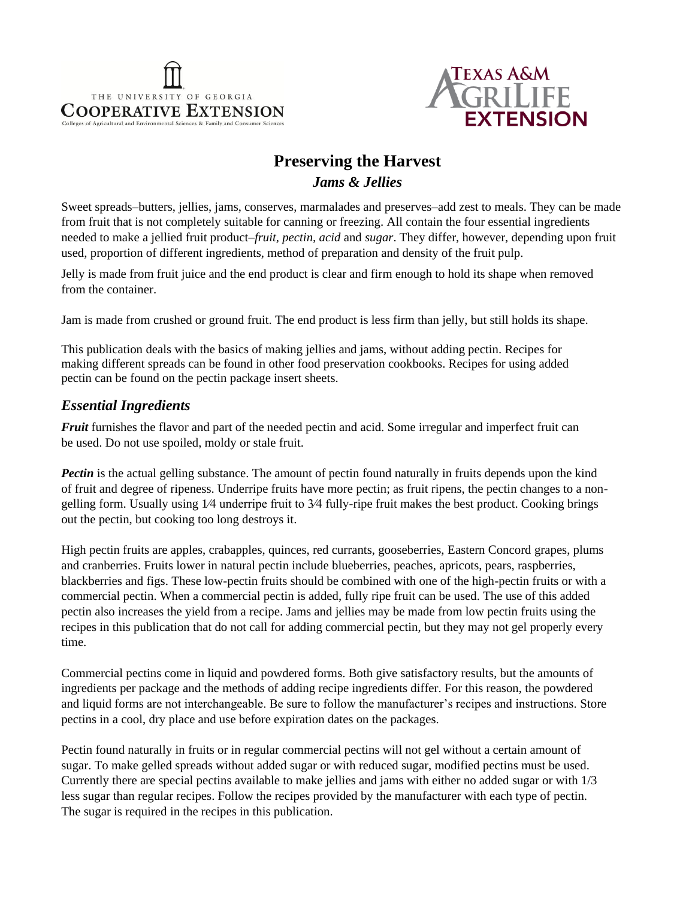



# **Preserving the Harvest** *Jams & Jellies*

Sweet spreads–butters, jellies, jams, conserves, marmalades and preserves–add zest to meals. They can be made from fruit that is not completely suitable for canning or freezing. All contain the four essential ingredients needed to make a jellied fruit product–*fruit, pectin, acid* and *sugar*. They differ, however, depending upon fruit used, proportion of different ingredients, method of preparation and density of the fruit pulp.

Jelly is made from fruit juice and the end product is clear and firm enough to hold its shape when removed from the container.

Jam is made from crushed or ground fruit. The end product is less firm than jelly, but still holds its shape.

This publication deals with the basics of making jellies and jams, without adding pectin. Recipes for making different spreads can be found in other food preservation cookbooks. Recipes for using added pectin can be found on the pectin package insert sheets.

### *Essential Ingredients*

*Fruit* furnishes the flavor and part of the needed pectin and acid. Some irregular and imperfect fruit can be used. Do not use spoiled, moldy or stale fruit.

*Pectin* is the actual gelling substance. The amount of pectin found naturally in fruits depends upon the kind of fruit and degree of ripeness. Underripe fruits have more pectin; as fruit ripens, the pectin changes to a nongelling form. Usually using 1⁄4 underripe fruit to 3⁄4 fully-ripe fruit makes the best product. Cooking brings out the pectin, but cooking too long destroys it.

High pectin fruits are apples, crabapples, quinces, red currants, gooseberries, Eastern Concord grapes, plums and cranberries. Fruits lower in natural pectin include blueberries, peaches, apricots, pears, raspberries, blackberries and figs. These low-pectin fruits should be combined with one of the high-pectin fruits or with a commercial pectin. When a commercial pectin is added, fully ripe fruit can be used. The use of this added pectin also increases the yield from a recipe. Jams and jellies may be made from low pectin fruits using the recipes in this publication that do not call for adding commercial pectin, but they may not gel properly every time.

Commercial pectins come in liquid and powdered forms. Both give satisfactory results, but the amounts of ingredients per package and the methods of adding recipe ingredients differ. For this reason, the powdered and liquid forms are not interchangeable. Be sure to follow the manufacturer's recipes and instructions. Store pectins in a cool, dry place and use before expiration dates on the packages.

Pectin found naturally in fruits or in regular commercial pectins will not gel without a certain amount of sugar. To make gelled spreads without added sugar or with reduced sugar, modified pectins must be used. Currently there are special pectins available to make jellies and jams with either no added sugar or with 1/3 less sugar than regular recipes. Follow the recipes provided by the manufacturer with each type of pectin. The sugar is required in the recipes in this publication.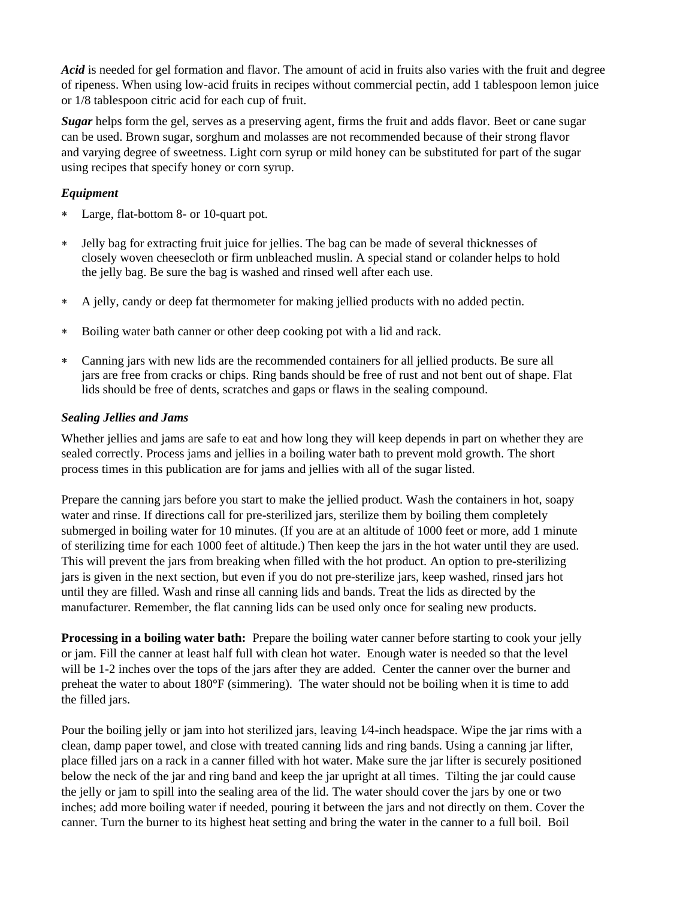*Acid* is needed for gel formation and flavor. The amount of acid in fruits also varies with the fruit and degree of ripeness. When using low-acid fruits in recipes without commercial pectin, add 1 tablespoon lemon juice or 1/8 tablespoon citric acid for each cup of fruit.

*Sugar* helps form the gel, serves as a preserving agent, firms the fruit and adds flavor. Beet or cane sugar can be used. Brown sugar, sorghum and molasses are not recommended because of their strong flavor and varying degree of sweetness. Light corn syrup or mild honey can be substituted for part of the sugar using recipes that specify honey or corn syrup.

#### *Equipment*

- Large, flat-bottom 8- or 10-quart pot.
- Jelly bag for extracting fruit juice for jellies. The bag can be made of several thicknesses of closely woven cheesecloth or firm unbleached muslin. A special stand or colander helps to hold the jelly bag. Be sure the bag is washed and rinsed well after each use.
- A jelly, candy or deep fat thermometer for making jellied products with no added pectin.
- Boiling water bath canner or other deep cooking pot with a lid and rack.
- Canning jars with new lids are the recommended containers for all jellied products. Be sure all jars are free from cracks or chips. Ring bands should be free of rust and not bent out of shape. Flat lids should be free of dents, scratches and gaps or flaws in the sealing compound.

#### *Sealing Jellies and Jams*

Whether jellies and jams are safe to eat and how long they will keep depends in part on whether they are sealed correctly. Process jams and jellies in a boiling water bath to prevent mold growth. The short process times in this publication are for jams and jellies with all of the sugar listed.

Prepare the canning jars before you start to make the jellied product. Wash the containers in hot, soapy water and rinse. If directions call for pre-sterilized jars, sterilize them by boiling them completely submerged in boiling water for 10 minutes. (If you are at an altitude of 1000 feet or more, add 1 minute of sterilizing time for each 1000 feet of altitude.) Then keep the jars in the hot water until they are used. This will prevent the jars from breaking when filled with the hot product. An option to pre-sterilizing jars is given in the next section, but even if you do not pre-sterilize jars, keep washed, rinsed jars hot until they are filled. Wash and rinse all canning lids and bands. Treat the lids as directed by the manufacturer. Remember, the flat canning lids can be used only once for sealing new products.

**Processing in a boiling water bath:** Prepare the boiling water canner before starting to cook your jelly or jam. Fill the canner at least half full with clean hot water. Enough water is needed so that the level will be 1-2 inches over the tops of the jars after they are added. Center the canner over the burner and preheat the water to about 180°F (simmering). The water should not be boiling when it is time to add the filled jars.

Pour the boiling jelly or jam into hot sterilized jars, leaving 1⁄4-inch headspace. Wipe the jar rims with a clean, damp paper towel, and close with treated canning lids and ring bands. Using a canning jar lifter, place filled jars on a rack in a canner filled with hot water. Make sure the jar lifter is securely positioned below the neck of the jar and ring band and keep the jar upright at all times. Tilting the jar could cause the jelly or jam to spill into the sealing area of the lid. The water should cover the jars by one or two inches; add more boiling water if needed, pouring it between the jars and not directly on them. Cover the canner. Turn the burner to its highest heat setting and bring the water in the canner to a full boil. Boil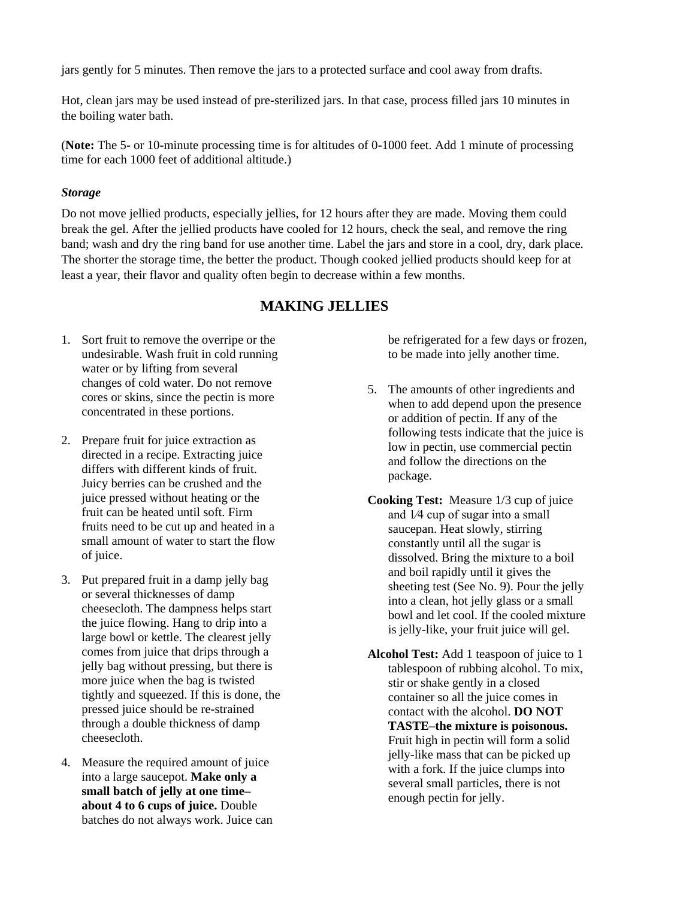jars gently for 5 minutes. Then remove the jars to a protected surface and cool away from drafts.

Hot, clean jars may be used instead of pre-sterilized jars. In that case, process filled jars 10 minutes in the boiling water bath.

(**Note:** The 5- or 10-minute processing time is for altitudes of 0-1000 feet. Add 1 minute of processing time for each 1000 feet of additional altitude.)

#### *Storage*

Do not move jellied products, especially jellies, for 12 hours after they are made. Moving them could break the gel. After the jellied products have cooled for 12 hours, check the seal, and remove the ring band; wash and dry the ring band for use another time. Label the jars and store in a cool, dry, dark place. The shorter the storage time, the better the product. Though cooked jellied products should keep for at least a year, their flavor and quality often begin to decrease within a few months.

### **MAKING JELLIES**

- 1. Sort fruit to remove the overripe or the undesirable. Wash fruit in cold running water or by lifting from several changes of cold water. Do not remove cores or skins, since the pectin is more concentrated in these portions.
- 2. Prepare fruit for juice extraction as directed in a recipe. Extracting juice differs with different kinds of fruit. Juicy berries can be crushed and the juice pressed without heating or the fruit can be heated until soft. Firm fruits need to be cut up and heated in a small amount of water to start the flow of juice.
- 3. Put prepared fruit in a damp jelly bag or several thicknesses of damp cheesecloth. The dampness helps start the juice flowing. Hang to drip into a large bowl or kettle. The clearest jelly comes from juice that drips through a jelly bag without pressing, but there is more juice when the bag is twisted tightly and squeezed. If this is done, the pressed juice should be re-strained through a double thickness of damp cheesecloth.
- 4. Measure the required amount of juice into a large saucepot. **Make only a small batch of jelly at one time– about 4 to 6 cups of juice.** Double batches do not always work. Juice can

be refrigerated for a few days or frozen, to be made into jelly another time.

- 5. The amounts of other ingredients and when to add depend upon the presence or addition of pectin. If any of the following tests indicate that the juice is low in pectin, use commercial pectin and follow the directions on the package.
- **Cooking Test:** Measure 1/3 cup of juice and 1⁄4 cup of sugar into a small saucepan. Heat slowly, stirring constantly until all the sugar is dissolved. Bring the mixture to a boil and boil rapidly until it gives the sheeting test (See No. 9). Pour the jelly into a clean, hot jelly glass or a small bowl and let cool. If the cooled mixture is jelly-like, your fruit juice will gel.
- **Alcohol Test:** Add 1 teaspoon of juice to 1 tablespoon of rubbing alcohol. To mix, stir or shake gently in a closed container so all the juice comes in contact with the alcohol. **DO NOT TASTE–the mixture is poisonous.**  Fruit high in pectin will form a solid jelly-like mass that can be picked up with a fork. If the juice clumps into several small particles, there is not enough pectin for jelly.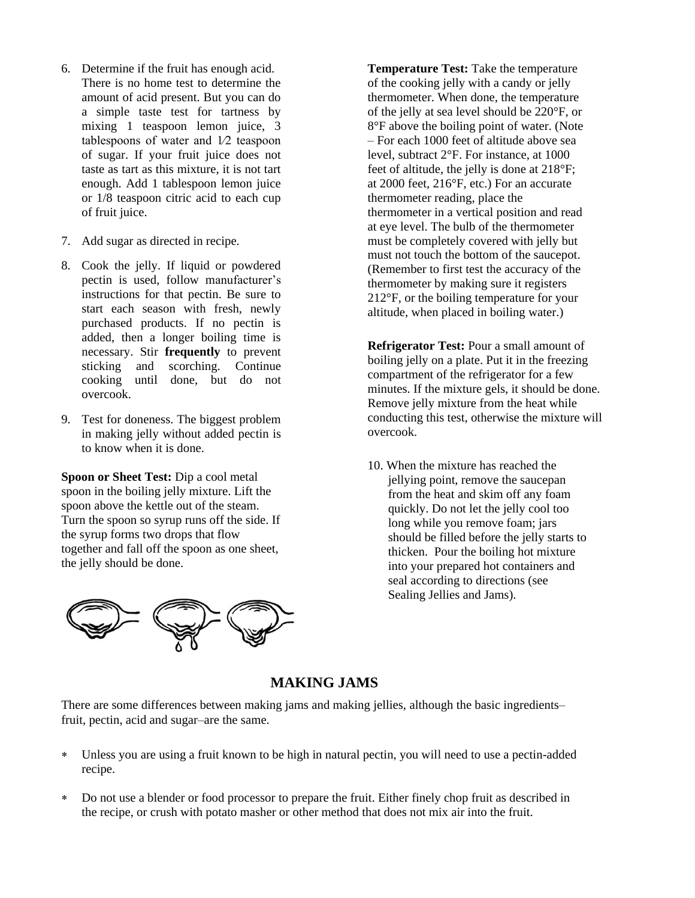- 6. Determine if the fruit has enough acid. There is no home test to determine the amount of acid present. But you can do a simple taste test for tartness by mixing 1 teaspoon lemon juice, 3 tablespoons of water and 1⁄2 teaspoon of sugar. If your fruit juice does not taste as tart as this mixture, it is not tart enough. Add 1 tablespoon lemon juice or 1/8 teaspoon citric acid to each cup of fruit juice.
- 7. Add sugar as directed in recipe.
- 8. Cook the jelly. If liquid or powdered pectin is used, follow manufacturer's instructions for that pectin. Be sure to start each season with fresh, newly purchased products. If no pectin is added, then a longer boiling time is necessary. Stir **frequently** to prevent sticking and scorching. Continue cooking until done, but do not overcook.
- 9. Test for doneness. The biggest problem in making jelly without added pectin is to know when it is done.

**Spoon or Sheet Test:** Dip a cool metal spoon in the boiling jelly mixture. Lift the spoon above the kettle out of the steam. Turn the spoon so syrup runs off the side. If the syrup forms two drops that flow together and fall off the spoon as one sheet, the jelly should be done.



**Temperature Test:** Take the temperature of the cooking jelly with a candy or jelly thermometer. When done, the temperature of the jelly at sea level should be 220°F, or 8°F above the boiling point of water. (Note – For each 1000 feet of altitude above sea level, subtract 2°F. For instance, at 1000 feet of altitude, the jelly is done at 218°F; at 2000 feet, 216°F, etc.) For an accurate thermometer reading, place the thermometer in a vertical position and read at eye level. The bulb of the thermometer must be completely covered with jelly but must not touch the bottom of the saucepot. (Remember to first test the accuracy of the thermometer by making sure it registers 212°F, or the boiling temperature for your altitude, when placed in boiling water.)

**Refrigerator Test:** Pour a small amount of boiling jelly on a plate. Put it in the freezing compartment of the refrigerator for a few minutes. If the mixture gels, it should be done. Remove jelly mixture from the heat while conducting this test, otherwise the mixture will overcook.

10. When the mixture has reached the jellying point, remove the saucepan from the heat and skim off any foam quickly. Do not let the jelly cool too long while you remove foam; jars should be filled before the jelly starts to thicken. Pour the boiling hot mixture into your prepared hot containers and seal according to directions (see Sealing Jellies and Jams).

# **MAKING JAMS**

There are some differences between making jams and making jellies, although the basic ingredients– fruit, pectin, acid and sugar–are the same.

- Unless you are using a fruit known to be high in natural pectin, you will need to use a pectin-added recipe.
- Do not use a blender or food processor to prepare the fruit. Either finely chop fruit as described in the recipe, or crush with potato masher or other method that does not mix air into the fruit.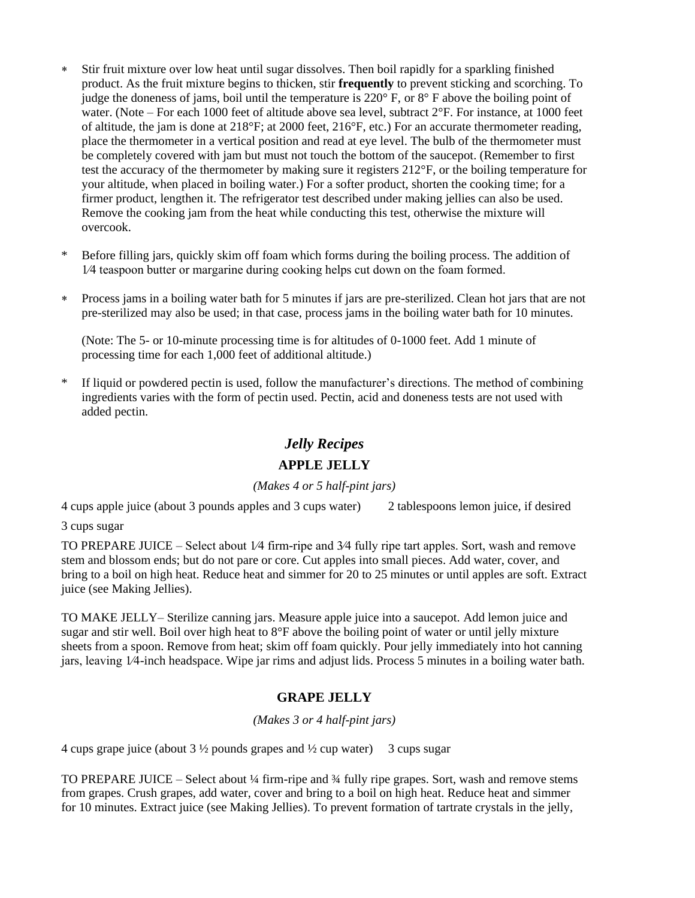- Stir fruit mixture over low heat until sugar dissolves. Then boil rapidly for a sparkling finished product. As the fruit mixture begins to thicken, stir **frequently** to prevent sticking and scorching. To judge the doneness of jams, boil until the temperature is  $220^{\circ}$  F, or  $8^{\circ}$  F above the boiling point of water. (Note – For each 1000 feet of altitude above sea level, subtract  $2^{\circ}$ F. For instance, at 1000 feet of altitude, the jam is done at 218°F; at 2000 feet, 216°F, etc.) For an accurate thermometer reading, place the thermometer in a vertical position and read at eye level. The bulb of the thermometer must be completely covered with jam but must not touch the bottom of the saucepot. (Remember to first test the accuracy of the thermometer by making sure it registers 212°F, or the boiling temperature for your altitude, when placed in boiling water.) For a softer product, shorten the cooking time; for a firmer product, lengthen it. The refrigerator test described under making jellies can also be used. Remove the cooking jam from the heat while conducting this test, otherwise the mixture will overcook.
- \* Before filling jars, quickly skim off foam which forms during the boiling process. The addition of 1⁄4 teaspoon butter or margarine during cooking helps cut down on the foam formed.
- Process jams in a boiling water bath for 5 minutes if jars are pre-sterilized. Clean hot jars that are not pre-sterilized may also be used; in that case, process jams in the boiling water bath for 10 minutes.

(Note: The 5- or 10-minute processing time is for altitudes of 0-1000 feet. Add 1 minute of processing time for each 1,000 feet of additional altitude.)

\* If liquid or powdered pectin is used, follow the manufacturer's directions. The method of combining ingredients varies with the form of pectin used. Pectin, acid and doneness tests are not used with added pectin.

# *Jelly Recipes*

### **APPLE JELLY**

*(Makes 4 or 5 half-pint jars)*

4 cups apple juice (about 3 pounds apples and 3 cups water) 2 tablespoons lemon juice, if desired

3 cups sugar

TO PREPARE JUICE – Select about 1⁄4 firm-ripe and 3⁄4 fully ripe tart apples. Sort, wash and remove stem and blossom ends; but do not pare or core. Cut apples into small pieces. Add water, cover, and bring to a boil on high heat. Reduce heat and simmer for 20 to 25 minutes or until apples are soft. Extract juice (see Making Jellies).

TO MAKE JELLY– Sterilize canning jars. Measure apple juice into a saucepot. Add lemon juice and sugar and stir well. Boil over high heat to 8°F above the boiling point of water or until jelly mixture sheets from a spoon. Remove from heat; skim off foam quickly. Pour jelly immediately into hot canning jars, leaving 1⁄4-inch headspace. Wipe jar rims and adjust lids. Process 5 minutes in a boiling water bath.

### **GRAPE JELLY**

*(Makes 3 or 4 half-pint jars)*

4 cups grape juice (about  $3\frac{1}{2}$  pounds grapes and  $\frac{1}{2}$  cup water) 3 cups sugar

TO PREPARE JUICE – Select about ¼ firm-ripe and ¾ fully ripe grapes. Sort, wash and remove stems from grapes. Crush grapes, add water, cover and bring to a boil on high heat. Reduce heat and simmer for 10 minutes. Extract juice (see Making Jellies). To prevent formation of tartrate crystals in the jelly,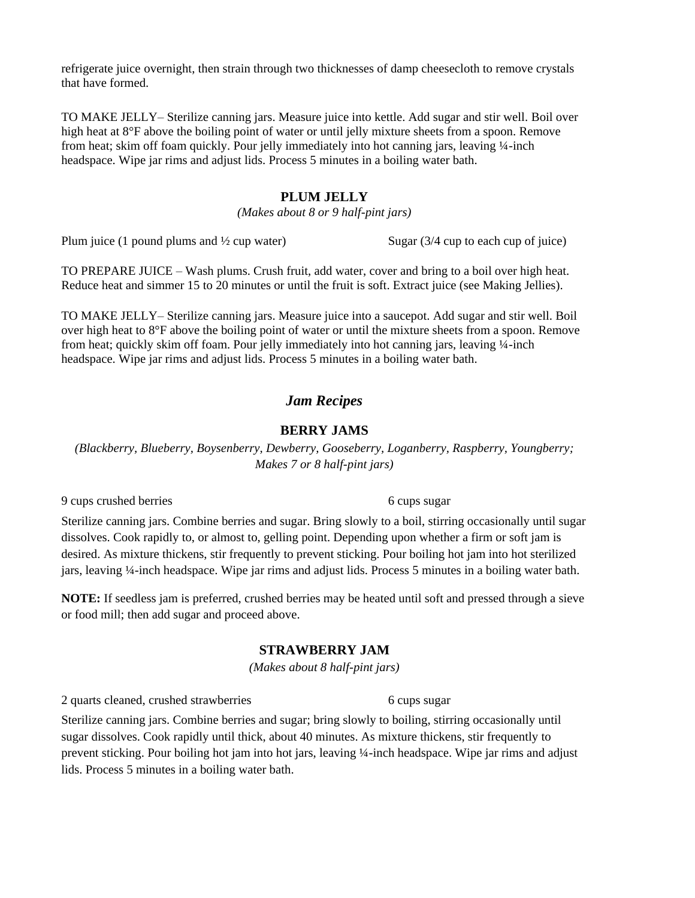refrigerate juice overnight, then strain through two thicknesses of damp cheesecloth to remove crystals that have formed.

TO MAKE JELLY– Sterilize canning jars. Measure juice into kettle. Add sugar and stir well. Boil over high heat at 8°F above the boiling point of water or until jelly mixture sheets from a spoon. Remove from heat; skim off foam quickly. Pour jelly immediately into hot canning jars, leaving ¼-inch headspace. Wipe jar rims and adjust lids. Process 5 minutes in a boiling water bath.

#### **PLUM JELLY**

*(Makes about 8 or 9 half-pint jars)*

Plum juice (1 pound plums and  $\frac{1}{2}$  cup water) Sugar (3/4 cup to each cup of juice)

TO PREPARE JUICE – Wash plums. Crush fruit, add water, cover and bring to a boil over high heat. Reduce heat and simmer 15 to 20 minutes or until the fruit is soft. Extract juice (see Making Jellies).

TO MAKE JELLY– Sterilize canning jars. Measure juice into a saucepot. Add sugar and stir well. Boil over high heat to 8°F above the boiling point of water or until the mixture sheets from a spoon. Remove from heat; quickly skim off foam. Pour jelly immediately into hot canning jars, leaving ¼-inch headspace. Wipe jar rims and adjust lids. Process 5 minutes in a boiling water bath.

### *Jam Recipes*

#### **BERRY JAMS**

*(Blackberry, Blueberry, Boysenberry, Dewberry, Gooseberry, Loganberry, Raspberry, Youngberry; Makes 7 or 8 half-pint jars)*

9 cups crushed berries 6 cups sugar

Sterilize canning jars. Combine berries and sugar. Bring slowly to a boil, stirring occasionally until sugar dissolves. Cook rapidly to, or almost to, gelling point. Depending upon whether a firm or soft jam is desired. As mixture thickens, stir frequently to prevent sticking. Pour boiling hot jam into hot sterilized jars, leaving ¼-inch headspace. Wipe jar rims and adjust lids. Process 5 minutes in a boiling water bath.

**NOTE:** If seedless jam is preferred, crushed berries may be heated until soft and pressed through a sieve or food mill; then add sugar and proceed above.

### **STRAWBERRY JAM**

*(Makes about 8 half-pint jars)*

2 quarts cleaned, crushed strawberries 6 cups sugar

Sterilize canning jars. Combine berries and sugar; bring slowly to boiling, stirring occasionally until sugar dissolves. Cook rapidly until thick, about 40 minutes. As mixture thickens, stir frequently to prevent sticking. Pour boiling hot jam into hot jars, leaving ¼-inch headspace. Wipe jar rims and adjust lids. Process 5 minutes in a boiling water bath.